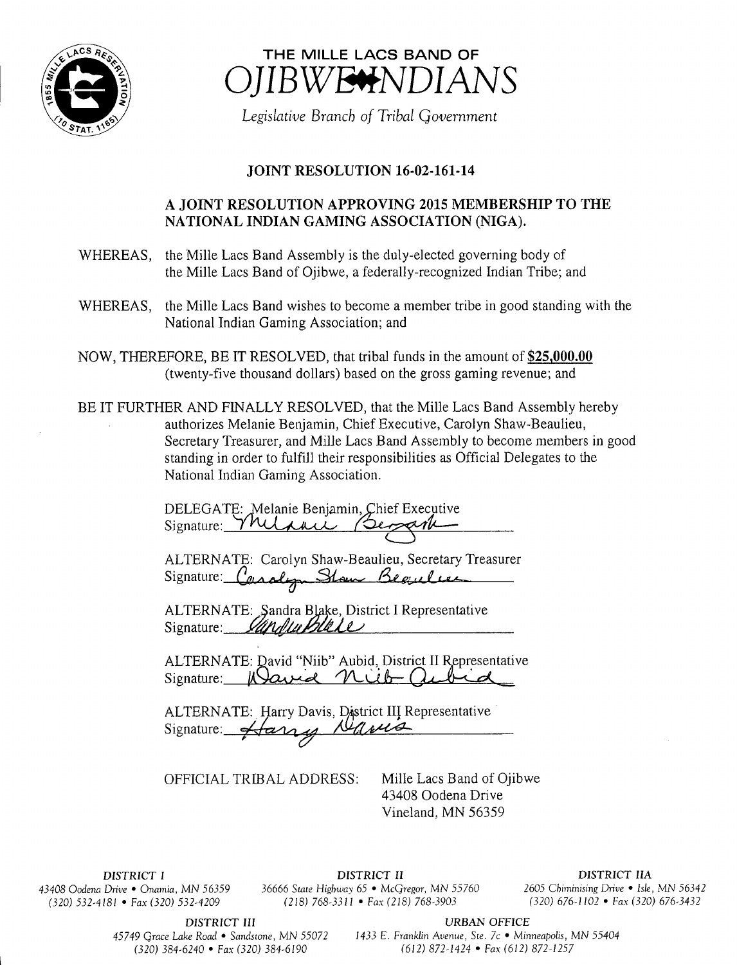



Legislative Branch of Tribal Government

## JOINT RESOLUTION 16-02-161-14

## A JOINT RESOLUTION APPROVING 2015 MEMBERSHIP TO THE NATIONAL INDIAN GAMING ASSOCIATION (NIGA).

- WHEREAS, the Mille Lacs Band Assembly is the duly-elected governing body of the Mille Lacs Band of Ojibwe, a federally-recognized Indian Tribe; and
- WHEREAS, the Mille Lacs Band wishes to become <sup>a</sup> member tribe in good standing with the National Indian Gaming Association; and
- NOW, THEREFORE, BE IT RESOLVED, that tribal funds in the amount of \$25,000.00 twenty-five thousand dollars) based on the gross gaming revenue; and
- BE IT FURTHER AND FINALLY RESOLVED, that the Mille Lacs Band Assembly hereby authorizes Melanie Benjamin, Chief Executive, Carolyn Shaw-Beaulieu, Secretary Treasurer, and Mille Lacs Band Assembly to become members in good standing in order to fulfill their responsibilities as Official Delegates to the National Indian Gaming Association.

DELEGATE: Melanie Benjamin, Chief Executive Signature: YMUraci Bersark

ALTERNATE: Carolyn Shaw-Beaulieu, Secretary Treasurer Signature: Casalyn Stow Begulas

ALTERNATE: Sandra Blake, District I Representative Signature: *Ultrublut Le* 

ALTERNATE: David "Niib" Aubid, District II Representative Signature: Wavid nich a سللته

ALTERNATE: Harry Davis, District III Representative<br>Signature: *'Harry as Mawa* Signature: 4 any

OFFICIAL TRIBAL ADDRESS: Mille Lacs Band of Ojibwe

43408 Oodena Drive Vineland, MN 56359

 $(320)$  532-4181 • Fax(320) 532-4209

DISTRICT I DISTRICT II DISTRICT IIA <sup>43408</sup> Oodena Drive • Onamia, MN 56359 36666 State Highway 65 • McGregor, MN 55760 <sup>2605</sup> Chiminising Drive • Isle, MN <sup>56342</sup>

DISTRICT III URBAN OFFICE

45749 Grace Lake Road • Sandstone, MN 55072 1433 E. Franklin Avenue, Ste. 7c • Minneapolis, MN 55404 320) 384- 6240 • Fax( 320) 384- 6190 612) 872- 1424 • Fax( 612) 872- 1257